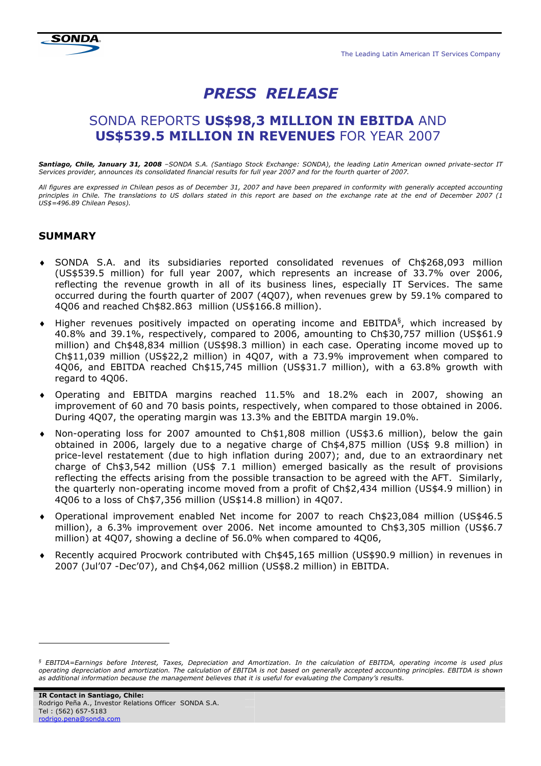# PRESS RELEASE

## SONDA REPORTS US\$98,3 MILLION IN EBITDA AND US\$539.5 MILLION IN REVENUES FOR YEAR 2007

Santiago, Chile, January 31, 2008 -SONDA S.A. (Santiago Stock Exchange: SONDA), the leading Latin American owned private-sector IT Services provider, announces its consolidated financial results for full year 2007 and for the fourth quarter of 2007.

All figures are expressed in Chilean pesos as of December 31, 2007 and have been prepared in conformity with generally accepted accounting principles in Chile. The translations to US dollars stated in this report are based on the exchange rate at the end of December 2007 (1 US\$=496.89 Chilean Pesos).

## **SUMMARY**

- ♦ SONDA S.A. and its subsidiaries reported consolidated revenues of Ch\$268,093 million (US\$539.5 million) for full year 2007, which represents an increase of 33.7% over 2006, reflecting the revenue growth in all of its business lines, especially IT Services. The same occurred during the fourth quarter of 2007 (4Q07), when revenues grew by 59.1% compared to 4Q06 and reached Ch\$82.863 million (US\$166.8 million).
- $\bullet$  Higher revenues positively impacted on operating income and EBITDA<sup>§</sup>, which increased by 40.8% and 39.1%, respectively, compared to 2006, amounting to Ch\$30,757 million (US\$61.9 million) and Ch\$48,834 million (US\$98.3 million) in each case. Operating income moved up to Ch\$11,039 million (US\$22,2 million) in 4Q07, with a 73.9% improvement when compared to 4Q06, and EBITDA reached Ch\$15,745 million (US\$31.7 million), with a 63.8% growth with regard to 4Q06.
- ♦ Operating and EBITDA margins reached 11.5% and 18.2% each in 2007, showing an improvement of 60 and 70 basis points, respectively, when compared to those obtained in 2006. During 4Q07, the operating margin was 13.3% and the EBITDA margin 19.0%.
- ♦ Non-operating loss for 2007 amounted to Ch\$1,808 million (US\$3.6 million), below the gain obtained in 2006, largely due to a negative charge of Ch\$4,875 million (US\$ 9.8 million) in price-level restatement (due to high inflation during 2007); and, due to an extraordinary net charge of Ch\$3,542 million (US\$ 7.1 million) emerged basically as the result of provisions reflecting the effects arising from the possible transaction to be agreed with the AFT. Similarly, the quarterly non-operating income moved from a profit of Ch\$2,434 million (US\$4.9 million) in 4Q06 to a loss of Ch\$7,356 million (US\$14.8 million) in 4Q07.
- ♦ Operational improvement enabled Net income for 2007 to reach Ch\$23,084 million (US\$46.5 million), a 6.3% improvement over 2006. Net income amounted to Ch\$3,305 million (US\$6.7 million) at 4Q07, showing a decline of 56.0% when compared to 4Q06,
- ♦ Recently acquired Procwork contributed with Ch\$45,165 million (US\$90.9 million) in revenues in 2007 (Jul'07 -Dec'07), and Ch\$4,062 million (US\$8.2 million) in EBITDA.

l

<sup>§</sup> EBITDA=Earnings before Interest, Taxes, Depreciation and Amortization. In the calculation of EBITDA, operating income is used plus operating depreciation and amortization. The calculation of EBITDA is not based on generally accepted accounting principles. EBITDA is shown as additional information because the management believes that it is useful for evaluating the Company's results.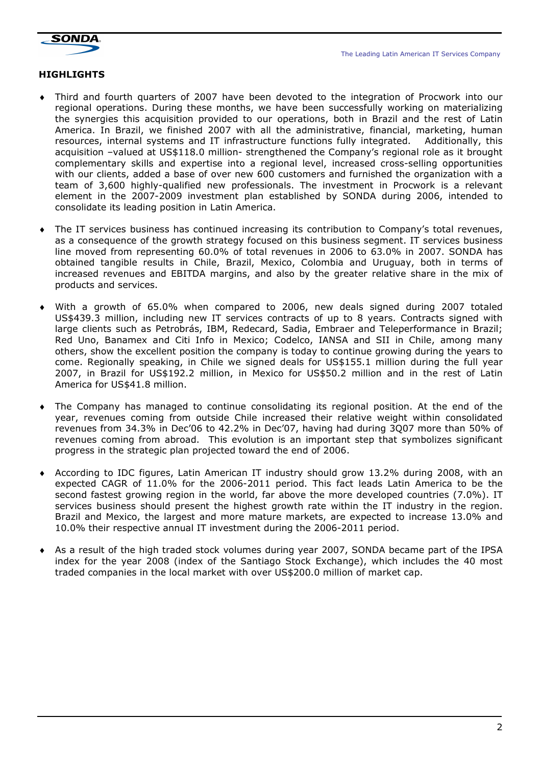The Leading Latin American IT Services Company



## **HIGHLIGHTS**

- ♦ Third and fourth quarters of 2007 have been devoted to the integration of Procwork into our regional operations. During these months, we have been successfully working on materializing the synergies this acquisition provided to our operations, both in Brazil and the rest of Latin America. In Brazil, we finished 2007 with all the administrative, financial, marketing, human resources, internal systems and IT infrastructure functions fully integrated. Additionally, this acquisition –valued at US\$118.0 million- strengthened the Company's regional role as it brought complementary skills and expertise into a regional level, increased cross-selling opportunities with our clients, added a base of over new 600 customers and furnished the organization with a team of 3,600 highly-qualified new professionals. The investment in Procwork is a relevant element in the 2007-2009 investment plan established by SONDA during 2006, intended to consolidate its leading position in Latin America.
- ♦ The IT services business has continued increasing its contribution to Company's total revenues, as a consequence of the growth strategy focused on this business segment. IT services business line moved from representing 60.0% of total revenues in 2006 to 63.0% in 2007. SONDA has obtained tangible results in Chile, Brazil, Mexico, Colombia and Uruguay, both in terms of increased revenues and EBITDA margins, and also by the greater relative share in the mix of products and services.
- With a growth of 65.0% when compared to 2006, new deals signed during 2007 totaled US\$439.3 million, including new IT services contracts of up to 8 years. Contracts signed with large clients such as Petrobrás, IBM, Redecard, Sadia, Embraer and Teleperformance in Brazil; Red Uno, Banamex and Citi Info in Mexico; Codelco, IANSA and SII in Chile, among many others, show the excellent position the company is today to continue growing during the years to come. Regionally speaking, in Chile we signed deals for US\$155.1 million during the full year 2007, in Brazil for US\$192.2 million, in Mexico for US\$50.2 million and in the rest of Latin America for US\$41.8 million.
- The Company has managed to continue consolidating its regional position. At the end of the year, revenues coming from outside Chile increased their relative weight within consolidated revenues from 34.3% in Dec'06 to 42.2% in Dec'07, having had during 3Q07 more than 50% of revenues coming from abroad. This evolution is an important step that symbolizes significant progress in the strategic plan projected toward the end of 2006.
- ♦ According to IDC figures, Latin American IT industry should grow 13.2% during 2008, with an expected CAGR of 11.0% for the 2006-2011 period. This fact leads Latin America to be the second fastest growing region in the world, far above the more developed countries (7.0%). IT services business should present the highest growth rate within the IT industry in the region. Brazil and Mexico, the largest and more mature markets, are expected to increase 13.0% and 10.0% their respective annual IT investment during the 2006-2011 period.
- As a result of the high traded stock volumes during year 2007, SONDA became part of the IPSA index for the year 2008 (index of the Santiago Stock Exchange), which includes the 40 most traded companies in the local market with over US\$200.0 million of market cap.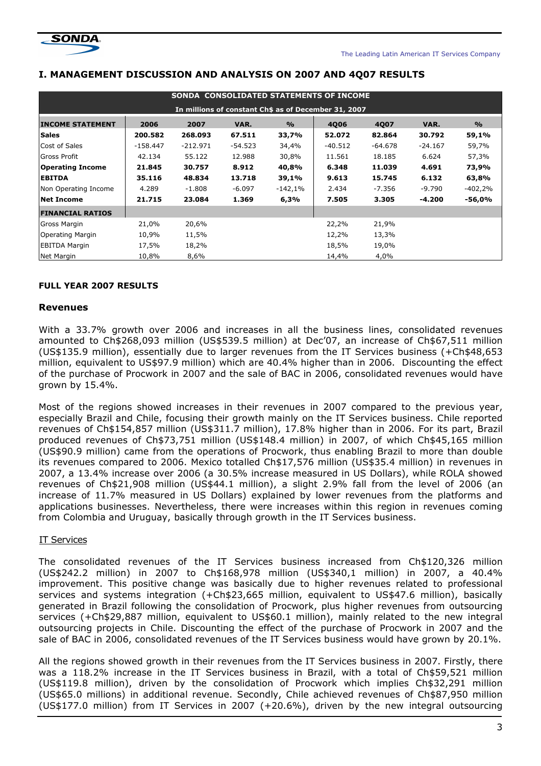

#### I. MANAGEMENT DISCUSSION AND ANALYSIS ON 2007 AND 4Q07 RESULTS

| SONDA CONSOLIDATED STATEMENTS OF INCOME              |            |            |           |               |         |           |           |               |  |
|------------------------------------------------------|------------|------------|-----------|---------------|---------|-----------|-----------|---------------|--|
| In millions of constant Ch\$ as of December 31, 2007 |            |            |           |               |         |           |           |               |  |
| <b>INCOME STATEMENT</b>                              | 2006       | 2007       | VAR.      | $\frac{9}{6}$ | 4006    | 4Q07      | VAR.      | $\frac{9}{6}$ |  |
| <b>Sales</b>                                         | 200.582    | 268.093    | 67.511    | 33,7%         | 52.072  | 82.864    | 30.792    | 59,1%         |  |
| Cost of Sales                                        | $-158.447$ | $-212.971$ | $-54.523$ | 34,4%         | -40.512 | $-64.678$ | $-24.167$ | 59,7%         |  |
| <b>Gross Profit</b>                                  | 42.134     | 55.122     | 12.988    | 30,8%         | 11.561  | 18.185    | 6.624     | 57,3%         |  |
| <b>Operating Income</b>                              | 21.845     | 30.757     | 8.912     | 40,8%         | 6.348   | 11.039    | 4.691     | 73,9%         |  |
| <b>EBITDA</b>                                        | 35.116     | 48.834     | 13.718    | 39,1%         | 9.613   | 15.745    | 6.132     | 63,8%         |  |
| Non Operating Income                                 | 4.289      | $-1.808$   | $-6.097$  | $-142,1%$     | 2.434   | -7.356    | $-9.790$  | $-402,2%$     |  |
| <b>Net Income</b>                                    | 21.715     | 23.084     | 1.369     | 6,3%          | 7.505   | 3.305     | -4.200    | -56,0%        |  |
| <b>FINANCIAL RATIOS</b>                              |            |            |           |               |         |           |           |               |  |
| Gross Margin                                         | 21,0%      | 20,6%      |           |               | 22,2%   | 21,9%     |           |               |  |
| Operating Margin                                     | 10,9%      | 11,5%      |           |               | 12,2%   | 13,3%     |           |               |  |
| <b>EBITDA Margin</b>                                 | 17,5%      | 18,2%      |           |               | 18,5%   | 19,0%     |           |               |  |
| Net Margin                                           | 10,8%      | 8,6%       |           |               | 14,4%   | 4,0%      |           |               |  |

#### FULL YEAR 2007 RESULTS

#### Revenues

With a 33.7% growth over 2006 and increases in all the business lines, consolidated revenues amounted to Ch\$268,093 million (US\$539.5 million) at Dec'07, an increase of Ch\$67,511 million (US\$135.9 million), essentially due to larger revenues from the IT Services business (+Ch\$48,653 million, equivalent to US\$97.9 million) which are 40.4% higher than in 2006. Discounting the effect of the purchase of Procwork in 2007 and the sale of BAC in 2006, consolidated revenues would have grown by 15.4%.

Most of the regions showed increases in their revenues in 2007 compared to the previous year, especially Brazil and Chile, focusing their growth mainly on the IT Services business. Chile reported revenues of Ch\$154,857 million (US\$311.7 million), 17.8% higher than in 2006. For its part, Brazil produced revenues of Ch\$73,751 million (US\$148.4 million) in 2007, of which Ch\$45,165 million (US\$90.9 million) came from the operations of Procwork, thus enabling Brazil to more than double its revenues compared to 2006. Mexico totalled Ch\$17,576 million (US\$35.4 million) in revenues in 2007, a 13.4% increase over 2006 (a 30.5% increase measured in US Dollars), while ROLA showed revenues of Ch\$21,908 million (US\$44.1 million), a slight 2.9% fall from the level of 2006 (an increase of 11.7% measured in US Dollars) explained by lower revenues from the platforms and applications businesses. Nevertheless, there were increases within this region in revenues coming from Colombia and Uruguay, basically through growth in the IT Services business.

#### IT Services

The consolidated revenues of the IT Services business increased from Ch\$120,326 million (US\$242.2 million) in 2007 to Ch\$168,978 million (US\$340,1 million) in 2007, a 40.4% improvement. This positive change was basically due to higher revenues related to professional services and systems integration (+Ch\$23,665 million, equivalent to US\$47.6 million), basically generated in Brazil following the consolidation of Procwork, plus higher revenues from outsourcing services (+Ch\$29,887 million, equivalent to US\$60.1 million), mainly related to the new integral outsourcing projects in Chile. Discounting the effect of the purchase of Procwork in 2007 and the sale of BAC in 2006, consolidated revenues of the IT Services business would have grown by 20.1%.

All the regions showed growth in their revenues from the IT Services business in 2007. Firstly, there was a 118.2% increase in the IT Services business in Brazil, with a total of Ch\$59,521 million (US\$119.8 million), driven by the consolidation of Procwork which implies Ch\$32,291 million (US\$65.0 millions) in additional revenue. Secondly, Chile achieved revenues of Ch\$87,950 million (US\$177.0 million) from IT Services in 2007 (+20.6%), driven by the new integral outsourcing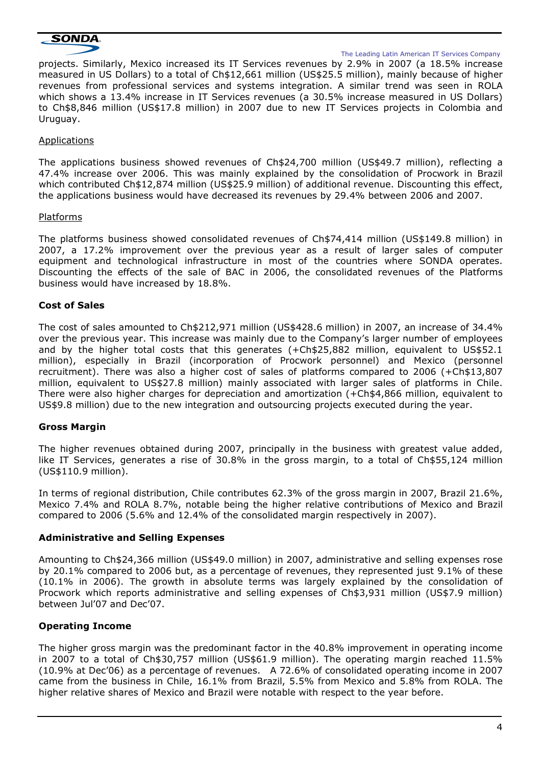

The Leading Latin American IT Services Company

projects. Similarly, Mexico increased its IT Services revenues by 2.9% in 2007 (a 18.5% increase measured in US Dollars) to a total of Ch\$12,661 million (US\$25.5 million), mainly because of higher revenues from professional services and systems integration. A similar trend was seen in ROLA which shows a 13.4% increase in IT Services revenues (a 30.5% increase measured in US Dollars) to Ch\$8,846 million (US\$17.8 million) in 2007 due to new IT Services projects in Colombia and Uruguay.

#### Applications

The applications business showed revenues of Ch\$24,700 million (US\$49.7 million), reflecting a 47.4% increase over 2006. This was mainly explained by the consolidation of Procwork in Brazil which contributed Ch\$12,874 million (US\$25.9 million) of additional revenue. Discounting this effect, the applications business would have decreased its revenues by 29.4% between 2006 and 2007.

#### Platforms

The platforms business showed consolidated revenues of Ch\$74,414 million (US\$149.8 million) in 2007, a 17.2% improvement over the previous year as a result of larger sales of computer equipment and technological infrastructure in most of the countries where SONDA operates. Discounting the effects of the sale of BAC in 2006, the consolidated revenues of the Platforms business would have increased by 18.8%.

### Cost of Sales

The cost of sales amounted to Ch\$212,971 million (US\$428.6 million) in 2007, an increase of 34.4% over the previous year. This increase was mainly due to the Company's larger number of employees and by the higher total costs that this generates (+Ch\$25,882 million, equivalent to US\$52.1 million), especially in Brazil (incorporation of Procwork personnel) and Mexico (personnel recruitment). There was also a higher cost of sales of platforms compared to 2006 (+Ch\$13,807 million, equivalent to US\$27.8 million) mainly associated with larger sales of platforms in Chile. There were also higher charges for depreciation and amortization (+Ch\$4,866 million, equivalent to US\$9.8 million) due to the new integration and outsourcing projects executed during the year.

#### Gross Margin

The higher revenues obtained during 2007, principally in the business with greatest value added, like IT Services, generates a rise of 30.8% in the gross margin, to a total of Ch\$55,124 million (US\$110.9 million).

In terms of regional distribution, Chile contributes 62.3% of the gross margin in 2007, Brazil 21.6%, Mexico 7.4% and ROLA 8.7%, notable being the higher relative contributions of Mexico and Brazil compared to 2006 (5.6% and 12.4% of the consolidated margin respectively in 2007).

#### Administrative and Selling Expenses

Amounting to Ch\$24,366 million (US\$49.0 million) in 2007, administrative and selling expenses rose by 20.1% compared to 2006 but, as a percentage of revenues, they represented just 9.1% of these (10.1% in 2006). The growth in absolute terms was largely explained by the consolidation of Procwork which reports administrative and selling expenses of Ch\$3,931 million (US\$7.9 million) between Jul'07 and Dec'07.

### Operating Income

The higher gross margin was the predominant factor in the 40.8% improvement in operating income in 2007 to a total of Ch\$30,757 million (US\$61.9 million). The operating margin reached 11.5% (10.9% at Dec'06) as a percentage of revenues. A 72.6% of consolidated operating income in 2007 came from the business in Chile, 16.1% from Brazil, 5.5% from Mexico and 5.8% from ROLA. The higher relative shares of Mexico and Brazil were notable with respect to the year before.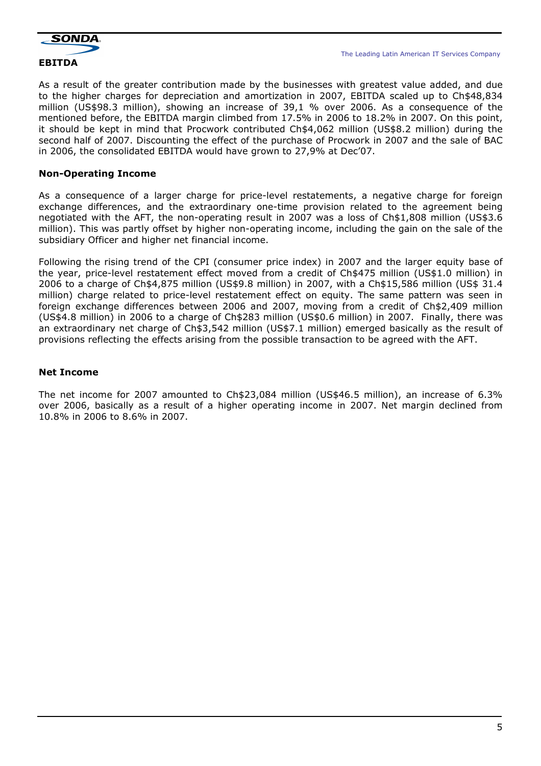

As a result of the greater contribution made by the businesses with greatest value added, and due to the higher charges for depreciation and amortization in 2007, EBITDA scaled up to Ch\$48,834 million (US\$98.3 million), showing an increase of 39,1 % over 2006. As a consequence of the mentioned before, the EBITDA margin climbed from 17.5% in 2006 to 18.2% in 2007. On this point, it should be kept in mind that Procwork contributed Ch\$4,062 million (US\$8.2 million) during the second half of 2007. Discounting the effect of the purchase of Procwork in 2007 and the sale of BAC in 2006, the consolidated EBITDA would have grown to 27,9% at Dec'07.

### Non-Operating Income

As a consequence of a larger charge for price-level restatements, a negative charge for foreign exchange differences, and the extraordinary one-time provision related to the agreement being negotiated with the AFT, the non-operating result in 2007 was a loss of Ch\$1,808 million (US\$3.6 million). This was partly offset by higher non-operating income, including the gain on the sale of the subsidiary Officer and higher net financial income.

Following the rising trend of the CPI (consumer price index) in 2007 and the larger equity base of the year, price-level restatement effect moved from a credit of Ch\$475 million (US\$1.0 million) in 2006 to a charge of Ch\$4,875 million (US\$9.8 million) in 2007, with a Ch\$15,586 million (US\$ 31.4 million) charge related to price-level restatement effect on equity. The same pattern was seen in foreign exchange differences between 2006 and 2007, moving from a credit of Ch\$2,409 million (US\$4.8 million) in 2006 to a charge of Ch\$283 million (US\$0.6 million) in 2007. Finally, there was an extraordinary net charge of Ch\$3,542 million (US\$7.1 million) emerged basically as the result of provisions reflecting the effects arising from the possible transaction to be agreed with the AFT.

## Net Income

The net income for 2007 amounted to Ch\$23,084 million (US\$46.5 million), an increase of 6.3% over 2006, basically as a result of a higher operating income in 2007. Net margin declined from 10.8% in 2006 to 8.6% in 2007.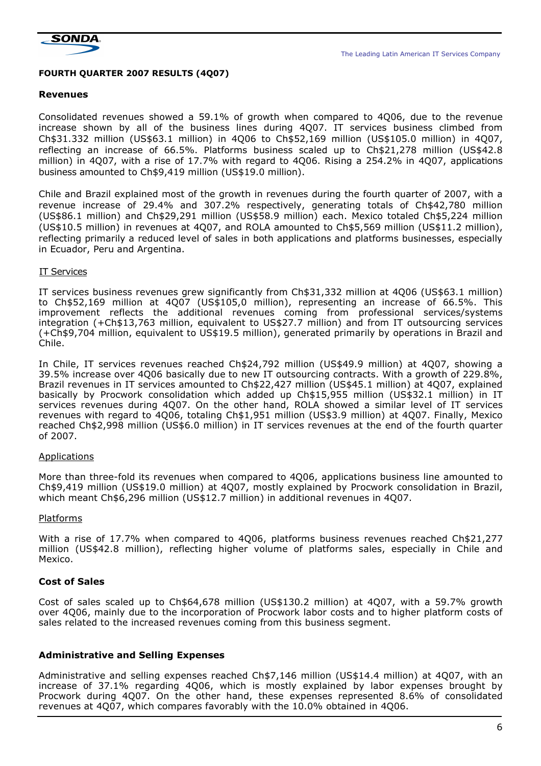

The Leading Latin American IT Services Company

#### FOURTH QUARTER 2007 RESULTS (4Q07)

#### Revenues

Consolidated revenues showed a 59.1% of growth when compared to 4Q06, due to the revenue increase shown by all of the business lines during 4Q07. IT services business climbed from Ch\$31.332 million (US\$63.1 million) in 4Q06 to Ch\$52,169 million (US\$105.0 million) in 4Q07, reflecting an increase of 66.5%. Platforms business scaled up to Ch\$21,278 million (US\$42.8 million) in 4Q07, with a rise of 17.7% with regard to 4Q06. Rising a 254.2% in 4Q07, applications business amounted to Ch\$9,419 million (US\$19.0 million).

Chile and Brazil explained most of the growth in revenues during the fourth quarter of 2007, with a revenue increase of 29.4% and 307.2% respectively, generating totals of Ch\$42,780 million (US\$86.1 million) and Ch\$29,291 million (US\$58.9 million) each. Mexico totaled Ch\$5,224 million (US\$10.5 million) in revenues at 4Q07, and ROLA amounted to Ch\$5,569 million (US\$11.2 million), reflecting primarily a reduced level of sales in both applications and platforms businesses, especially in Ecuador, Peru and Argentina.

#### IT Services

IT services business revenues grew significantly from Ch\$31,332 million at 4Q06 (US\$63.1 million) to Ch\$52,169 million at 4Q07 (US\$105,0 million), representing an increase of 66.5%. This improvement reflects the additional revenues coming from professional services/systems integration (+Ch\$13,763 million, equivalent to US\$27.7 million) and from IT outsourcing services (+Ch\$9,704 million, equivalent to US\$19.5 million), generated primarily by operations in Brazil and Chile.

In Chile, IT services revenues reached Ch\$24,792 million (US\$49.9 million) at 4Q07, showing a 39.5% increase over 4Q06 basically due to new IT outsourcing contracts. With a growth of 229.8%, Brazil revenues in IT services amounted to Ch\$22,427 million (US\$45.1 million) at 4Q07, explained basically by Procwork consolidation which added up Ch\$15,955 million (US\$32.1 million) in IT services revenues during 4Q07. On the other hand, ROLA showed a similar level of IT services revenues with regard to 4Q06, totaling Ch\$1,951 million (US\$3.9 million) at 4Q07. Finally, Mexico reached Ch\$2,998 million (US\$6.0 million) in IT services revenues at the end of the fourth quarter of 2007.

#### Applications

More than three-fold its revenues when compared to 4Q06, applications business line amounted to Ch\$9,419 million (US\$19.0 million) at 4Q07, mostly explained by Procwork consolidation in Brazil, which meant Ch\$6,296 million (US\$12.7 million) in additional revenues in 4Q07.

#### Platforms

With a rise of 17.7% when compared to 4Q06, platforms business revenues reached Ch\$21,277 million (US\$42.8 million), reflecting higher volume of platforms sales, especially in Chile and Mexico.

### Cost of Sales

Cost of sales scaled up to Ch\$64,678 million (US\$130.2 million) at 4Q07, with a 59.7% growth over 4Q06, mainly due to the incorporation of Procwork labor costs and to higher platform costs of sales related to the increased revenues coming from this business segment.

### Administrative and Selling Expenses

Administrative and selling expenses reached Ch\$7,146 million (US\$14.4 million) at 4Q07, with an increase of 37.1% regarding 4Q06, which is mostly explained by labor expenses brought by Procwork during 4Q07. On the other hand, these expenses represented 8.6% of consolidated revenues at 4Q07, which compares favorably with the 10.0% obtained in 4Q06.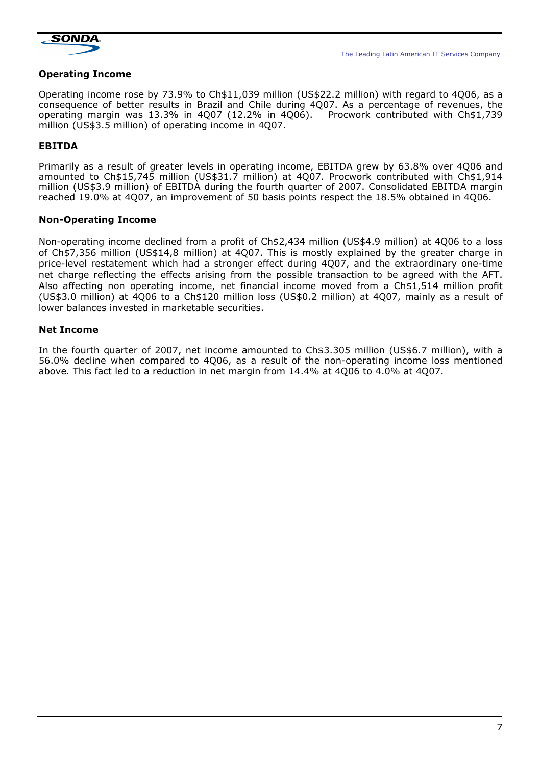

#### Operating Income

Operating income rose by 73.9% to Ch\$11,039 million (US\$22.2 million) with regard to 4Q06, as a consequence of better results in Brazil and Chile during 4Q07. As a percentage of revenues, the operating margin was 13.3% in 4Q07 (12.2% in 4Q06). Procwork contributed with Ch\$1,739 million (US\$3.5 million) of operating income in 4Q07.

## EBITDA

Primarily as a result of greater levels in operating income, EBITDA grew by 63.8% over 4Q06 and amounted to Ch\$15,745 million (US\$31.7 million) at 4Q07. Procwork contributed with Ch\$1,914 million (US\$3.9 million) of EBITDA during the fourth quarter of 2007. Consolidated EBITDA margin reached 19.0% at 4Q07, an improvement of 50 basis points respect the 18.5% obtained in 4Q06.

#### Non-Operating Income

Non-operating income declined from a profit of Ch\$2,434 million (US\$4.9 million) at 4Q06 to a loss of Ch\$7,356 million (US\$14,8 million) at 4Q07. This is mostly explained by the greater charge in price-level restatement which had a stronger effect during 4Q07, and the extraordinary one-time net charge reflecting the effects arising from the possible transaction to be agreed with the AFT. Also affecting non operating income, net financial income moved from a Ch\$1,514 million profit (US\$3.0 million) at 4Q06 to a Ch\$120 million loss (US\$0.2 million) at 4Q07, mainly as a result of lower balances invested in marketable securities.

#### Net Income

In the fourth quarter of 2007, net income amounted to Ch\$3.305 million (US\$6.7 million), with a 56.0% decline when compared to 4Q06, as a result of the non-operating income loss mentioned above. This fact led to a reduction in net margin from 14.4% at 4Q06 to 4.0% at 4Q07.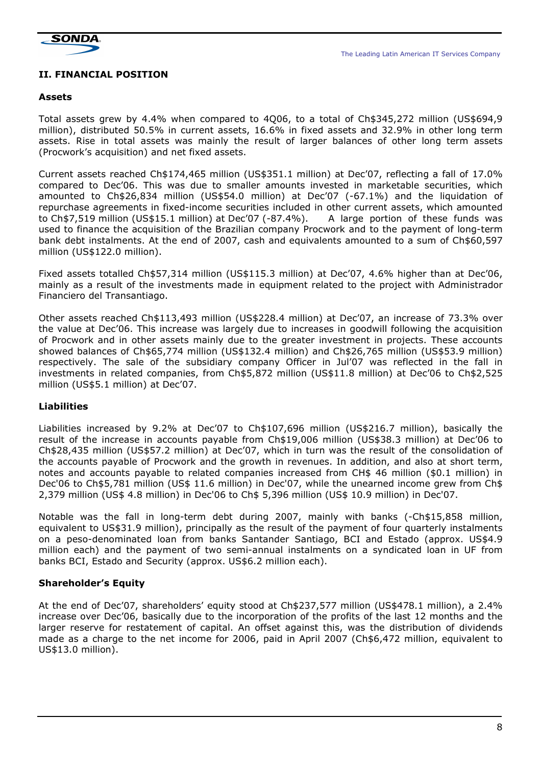

## II. FINANCIAL POSITION

#### Assets

Total assets grew by 4.4% when compared to 4Q06, to a total of Ch\$345,272 million (US\$694,9 million), distributed 50.5% in current assets, 16.6% in fixed assets and 32.9% in other long term assets. Rise in total assets was mainly the result of larger balances of other long term assets (Procwork's acquisition) and net fixed assets.

Current assets reached Ch\$174,465 million (US\$351.1 million) at Dec'07, reflecting a fall of 17.0% compared to Dec'06. This was due to smaller amounts invested in marketable securities, which amounted to Ch\$26,834 million (US\$54.0 million) at Dec'07 (-67.1%) and the liquidation of repurchase agreements in fixed-income securities included in other current assets, which amounted to Ch\$7,519 million (US\$15.1 million) at Dec'07 (-87.4%). A large portion of these funds was used to finance the acquisition of the Brazilian company Procwork and to the payment of long-term bank debt instalments. At the end of 2007, cash and equivalents amounted to a sum of Ch\$60,597 million (US\$122.0 million).

Fixed assets totalled Ch\$57,314 million (US\$115.3 million) at Dec'07, 4.6% higher than at Dec'06, mainly as a result of the investments made in equipment related to the project with Administrador Financiero del Transantiago.

Other assets reached Ch\$113,493 million (US\$228.4 million) at Dec'07, an increase of 73.3% over the value at Dec'06. This increase was largely due to increases in goodwill following the acquisition of Procwork and in other assets mainly due to the greater investment in projects. These accounts showed balances of Ch\$65,774 million (US\$132.4 million) and Ch\$26,765 million (US\$53.9 million) respectively. The sale of the subsidiary company Officer in Jul'07 was reflected in the fall in investments in related companies, from Ch\$5,872 million (US\$11.8 million) at Dec'06 to Ch\$2,525 million (US\$5.1 million) at Dec'07.

### Liabilities

Liabilities increased by 9.2% at Dec'07 to Ch\$107,696 million (US\$216.7 million), basically the result of the increase in accounts payable from Ch\$19,006 million (US\$38.3 million) at Dec'06 to Ch\$28,435 million (US\$57.2 million) at Dec'07, which in turn was the result of the consolidation of the accounts payable of Procwork and the growth in revenues. In addition, and also at short term, notes and accounts payable to related companies increased from CH\$ 46 million (\$0.1 million) in Dec'06 to Ch\$5,781 million (US\$ 11.6 million) in Dec'07, while the unearned income grew from Ch\$ 2,379 million (US\$ 4.8 million) in Dec'06 to Ch\$ 5,396 million (US\$ 10.9 million) in Dec'07.

Notable was the fall in long-term debt during 2007, mainly with banks (-Ch\$15,858 million, equivalent to US\$31.9 million), principally as the result of the payment of four quarterly instalments on a peso-denominated loan from banks Santander Santiago, BCI and Estado (approx. US\$4.9 million each) and the payment of two semi-annual instalments on a syndicated loan in UF from banks BCI, Estado and Security (approx. US\$6.2 million each).

### Shareholder's Equity

At the end of Dec'07, shareholders' equity stood at Ch\$237,577 million (US\$478.1 million), a 2.4% increase over Dec'06, basically due to the incorporation of the profits of the last 12 months and the larger reserve for restatement of capital. An offset against this, was the distribution of dividends made as a charge to the net income for 2006, paid in April 2007 (Ch\$6,472 million, equivalent to US\$13.0 million).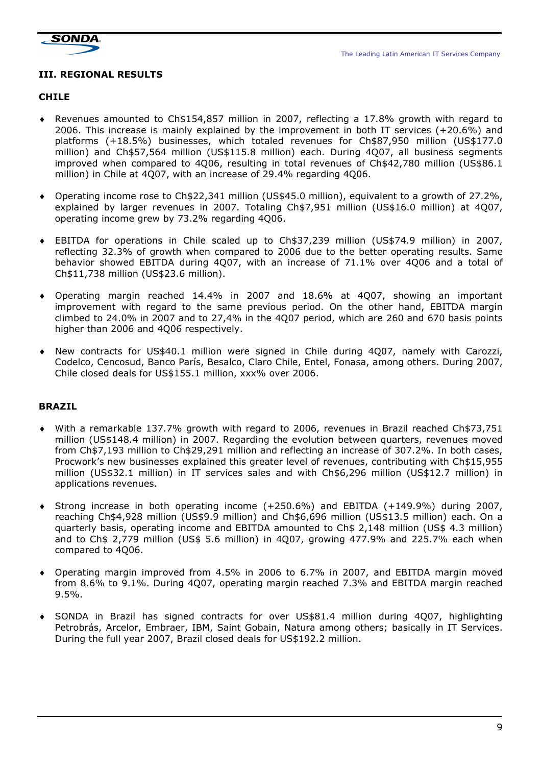

### III. REGIONAL RESULTS

#### CHILE

- ♦ Revenues amounted to Ch\$154,857 million in 2007, reflecting a 17.8% growth with regard to 2006. This increase is mainly explained by the improvement in both IT services (+20.6%) and platforms (+18.5%) businesses, which totaled revenues for Ch\$87,950 million (US\$177.0 million) and Ch\$57,564 million (US\$115.8 million) each. During 4Q07, all business segments improved when compared to 4Q06, resulting in total revenues of Ch\$42,780 million (US\$86.1 million) in Chile at 4Q07, with an increase of 29.4% regarding 4Q06.
- ♦ Operating income rose to Ch\$22,341 million (US\$45.0 million), equivalent to a growth of 27.2%, explained by larger revenues in 2007. Totaling Ch\$7,951 million (US\$16.0 million) at 4Q07, operating income grew by 73.2% regarding 4Q06.
- ♦ EBITDA for operations in Chile scaled up to Ch\$37,239 million (US\$74.9 million) in 2007, reflecting 32.3% of growth when compared to 2006 due to the better operating results. Same behavior showed EBITDA during 4Q07, with an increase of 71.1% over 4Q06 and a total of Ch\$11,738 million (US\$23.6 million).
- Operating margin reached 14.4% in 2007 and 18.6% at 4Q07, showing an important improvement with regard to the same previous period. On the other hand, EBITDA margin climbed to 24.0% in 2007 and to 27,4% in the 4Q07 period, which are 260 and 670 basis points higher than 2006 and 4Q06 respectively.
- ♦ New contracts for US\$40.1 million were signed in Chile during 4Q07, namely with Carozzi, Codelco, Cencosud, Banco París, Besalco, Claro Chile, Entel, Fonasa, among others. During 2007, Chile closed deals for US\$155.1 million, xxx% over 2006.

### BRAZIL

- ♦ With a remarkable 137.7% growth with regard to 2006, revenues in Brazil reached Ch\$73,751 million (US\$148.4 million) in 2007. Regarding the evolution between quarters, revenues moved from Ch\$7,193 million to Ch\$29,291 million and reflecting an increase of 307.2%. In both cases, Procwork's new businesses explained this greater level of revenues, contributing with Ch\$15,955 million (US\$32.1 million) in IT services sales and with Ch\$6,296 million (US\$12.7 million) in applications revenues.
- ♦ Strong increase in both operating income (+250.6%) and EBITDA (+149.9%) during 2007, reaching Ch\$4,928 million (US\$9.9 million) and Ch\$6,696 million (US\$13.5 million) each. On a quarterly basis, operating income and EBITDA amounted to Ch\$ 2,148 million (US\$ 4.3 million) and to Ch\$ 2,779 million (US\$ 5.6 million) in 4Q07, growing 477.9% and 225.7% each when compared to 4Q06.
- ♦ Operating margin improved from 4.5% in 2006 to 6.7% in 2007, and EBITDA margin moved from 8.6% to 9.1%. During 4Q07, operating margin reached 7.3% and EBITDA margin reached 9.5%.
- ♦ SONDA in Brazil has signed contracts for over US\$81.4 million during 4Q07, highlighting Petrobrás, Arcelor, Embraer, IBM, Saint Gobain, Natura among others; basically in IT Services. During the full year 2007, Brazil closed deals for US\$192.2 million.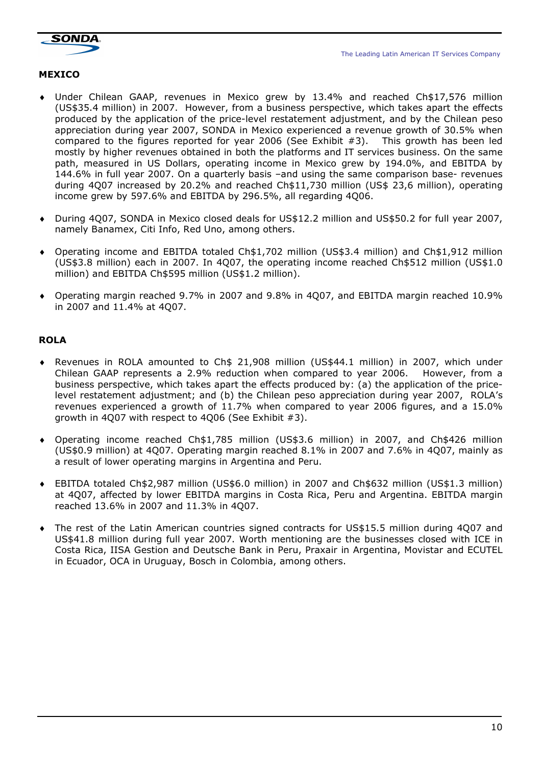



## MEXICO

- ♦ Under Chilean GAAP, revenues in Mexico grew by 13.4% and reached Ch\$17,576 million (US\$35.4 million) in 2007. However, from a business perspective, which takes apart the effects produced by the application of the price-level restatement adjustment, and by the Chilean peso appreciation during year 2007, SONDA in Mexico experienced a revenue growth of 30.5% when compared to the figures reported for year 2006 (See Exhibit #3). This growth has been led mostly by higher revenues obtained in both the platforms and IT services business. On the same path, measured in US Dollars, operating income in Mexico grew by 194.0%, and EBITDA by 144.6% in full year 2007. On a quarterly basis –and using the same comparison base- revenues during 4Q07 increased by 20.2% and reached Ch\$11,730 million (US\$ 23,6 million), operating income grew by 597.6% and EBITDA by 296.5%, all regarding 4Q06.
- ♦ During 4Q07, SONDA in Mexico closed deals for US\$12.2 million and US\$50.2 for full year 2007, namely Banamex, Citi Info, Red Uno, among others.
- ♦ Operating income and EBITDA totaled Ch\$1,702 million (US\$3.4 million) and Ch\$1,912 million (US\$3.8 million) each in 2007. In 4Q07, the operating income reached Ch\$512 million (US\$1.0 million) and EBITDA Ch\$595 million (US\$1.2 million).
- ♦ Operating margin reached 9.7% in 2007 and 9.8% in 4Q07, and EBITDA margin reached 10.9% in 2007 and 11.4% at 4Q07.

## ROLA

- ♦ Revenues in ROLA amounted to Ch\$ 21,908 million (US\$44.1 million) in 2007, which under Chilean GAAP represents a 2.9% reduction when compared to year 2006. However, from a business perspective, which takes apart the effects produced by: (a) the application of the pricelevel restatement adjustment; and (b) the Chilean peso appreciation during year 2007, ROLA's revenues experienced a growth of 11.7% when compared to year 2006 figures, and a 15.0% growth in 4Q07 with respect to 4Q06 (See Exhibit #3).
- ♦ Operating income reached Ch\$1,785 million (US\$3.6 million) in 2007, and Ch\$426 million (US\$0.9 million) at 4Q07. Operating margin reached 8.1% in 2007 and 7.6% in 4Q07, mainly as a result of lower operating margins in Argentina and Peru.
- ♦ EBITDA totaled Ch\$2,987 million (US\$6.0 million) in 2007 and Ch\$632 million (US\$1.3 million) at 4Q07, affected by lower EBITDA margins in Costa Rica, Peru and Argentina. EBITDA margin reached 13.6% in 2007 and 11.3% in 4Q07.
- The rest of the Latin American countries signed contracts for US\$15.5 million during 4Q07 and US\$41.8 million during full year 2007. Worth mentioning are the businesses closed with ICE in Costa Rica, IISA Gestion and Deutsche Bank in Peru, Praxair in Argentina, Movistar and ECUTEL in Ecuador, OCA in Uruguay, Bosch in Colombia, among others.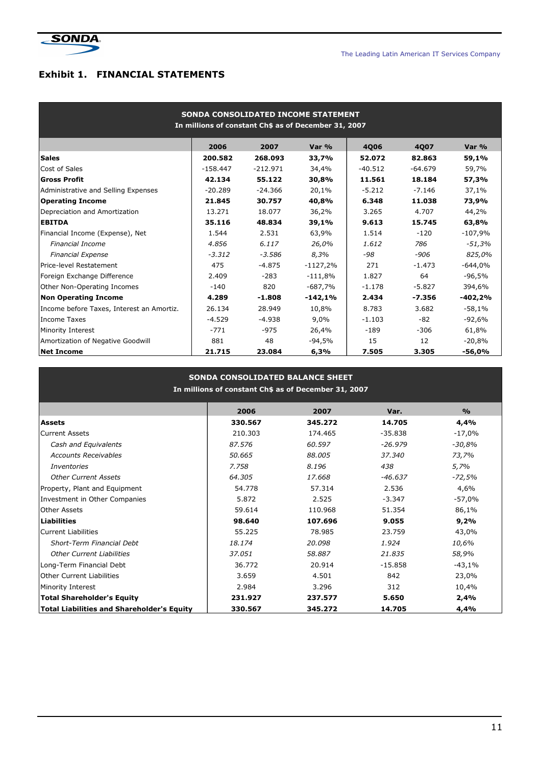

## Exhibit 1. FINANCIAL STATEMENTS

| SONDA CONSOLIDATED INCOME STATEMENT<br>In millions of constant Ch\$ as of December 31, 2007 |            |            |            |           |           |           |  |  |  |
|---------------------------------------------------------------------------------------------|------------|------------|------------|-----------|-----------|-----------|--|--|--|
|                                                                                             | 2006       | 2007       | Var %      | 4006      | 4007      | Var %     |  |  |  |
| <b>Sales</b>                                                                                | 200.582    | 268.093    | 33,7%      | 52.072    | 82.863    | 59,1%     |  |  |  |
| Cost of Sales                                                                               | $-158.447$ | $-212.971$ | 34,4%      | $-40.512$ | $-64.679$ | 59,7%     |  |  |  |
| Gross Profit                                                                                | 42.134     | 55.122     | 30,8%      | 11.561    | 18.184    | 57,3%     |  |  |  |
| Administrative and Selling Expenses                                                         | $-20.289$  | $-24.366$  | 20,1%      | $-5.212$  | $-7.146$  | 37,1%     |  |  |  |
| <b>Operating Income</b>                                                                     | 21.845     | 30.757     | 40,8%      | 6.348     | 11.038    | 73,9%     |  |  |  |
| Depreciation and Amortization                                                               | 13.271     | 18.077     | 36,2%      | 3.265     | 4.707     | 44,2%     |  |  |  |
| <b>EBITDA</b>                                                                               | 35.116     | 48.834     | 39,1%      | 9.613     | 15.745    | 63,8%     |  |  |  |
| Financial Income (Expense), Net                                                             | 1.544      | 2.531      | 63,9%      | 1.514     | $-120$    | $-107,9%$ |  |  |  |
| <b>Financial Income</b>                                                                     | 4.856      | 6.117      | 26,0%      | 1.612     | 786       | $-51,3%$  |  |  |  |
| <b>Financial Expense</b>                                                                    | $-3.312$   | $-3.586$   | 8,3%       | $-98$     | $-906$    | 825,0%    |  |  |  |
| Price-level Restatement                                                                     | 475        | $-4.875$   | $-1127,2%$ | 271       | $-1.473$  | $-644,0%$ |  |  |  |
| Foreign Exchange Difference                                                                 | 2.409      | $-283$     | $-111,8%$  | 1.827     | 64        | $-96,5%$  |  |  |  |
| Other Non-Operating Incomes                                                                 | $-140$     | 820        | -687,7%    | $-1.178$  | $-5.827$  | 394,6%    |  |  |  |
| <b>Non Operating Income</b>                                                                 | 4.289      | $-1.808$   | $-142,1%$  | 2.434     | $-7.356$  | $-402,2%$ |  |  |  |
| Income before Taxes, Interest an Amortiz.                                                   | 26.134     | 28.949     | 10,8%      | 8.783     | 3.682     | $-58,1%$  |  |  |  |
| Income Taxes                                                                                | $-4.529$   | $-4.938$   | $9.0\%$    | $-1.103$  | $-82$     | $-92,6%$  |  |  |  |
| Minority Interest                                                                           | $-771$     | $-975$     | 26,4%      | $-189$    | $-306$    | 61,8%     |  |  |  |
| Amortization of Negative Goodwill                                                           | 881        | 48         | $-94,5%$   | 15        | 12        | $-20,8%$  |  |  |  |
| <b>Net Income</b>                                                                           | 21.715     | 23.084     | 6,3%       | 7.505     | 3.305     | -56,0%    |  |  |  |

| <b>SONDA CONSOLIDATED BALANCE SHEET</b><br>In millions of constant Ch\$ as of December 31, 2007 |         |         |           |               |  |  |  |  |
|-------------------------------------------------------------------------------------------------|---------|---------|-----------|---------------|--|--|--|--|
|                                                                                                 | 2006    | 2007    | Var.      | $\frac{9}{6}$ |  |  |  |  |
| <b>Assets</b>                                                                                   | 330.567 | 345.272 | 14.705    | 4,4%          |  |  |  |  |
| <b>Current Assets</b>                                                                           | 210.303 | 174.465 | $-35.838$ | $-17,0%$      |  |  |  |  |
| Cash and Equivalents                                                                            | 87.576  | 60.597  | $-26.979$ | $-30,8%$      |  |  |  |  |
| <b>Accounts Receivables</b>                                                                     | 50.665  | 88.005  | 37,340    | 73,7%         |  |  |  |  |
| <i>Inventories</i>                                                                              | 7.758   | 8.196   | 438       | 5,7%          |  |  |  |  |
| <b>Other Current Assets</b>                                                                     | 64,305  | 17.668  | -46.637   | $-72,5%$      |  |  |  |  |
| Property, Plant and Equipment                                                                   | 54.778  | 57.314  | 2.536     | 4,6%          |  |  |  |  |
| Investment in Other Companies                                                                   | 5.872   | 2.525   | $-3.347$  | $-57,0%$      |  |  |  |  |
| <b>Other Assets</b>                                                                             | 59.614  | 110.968 | 51.354    | 86,1%         |  |  |  |  |
| <b>Liabilities</b>                                                                              | 98.640  | 107.696 | 9.055     | 9,2%          |  |  |  |  |
| <b>Current Liabilities</b>                                                                      | 55.225  | 78.985  | 23.759    | 43,0%         |  |  |  |  |
| Short-Term Financial Debt                                                                       | 18.174  | 20.098  | 1.924     | 10,6%         |  |  |  |  |
| <b>Other Current Liabilities</b>                                                                | 37.051  | 58.887  | 21.835    | 58,9%         |  |  |  |  |
| Long-Term Financial Debt                                                                        | 36.772  | 20.914  | $-15.858$ | $-43,1%$      |  |  |  |  |
| <b>Other Current Liabilities</b>                                                                | 3.659   | 4.501   | 842       | 23,0%         |  |  |  |  |
| Minority Interest                                                                               | 2.984   | 3.296   | 312       | 10,4%         |  |  |  |  |
| <b>Total Shareholder's Equity</b>                                                               | 231.927 | 237.577 | 5.650     | 2,4%          |  |  |  |  |
| <b>Total Liabilities and Shareholder's Equity</b>                                               | 330.567 | 345.272 | 14.705    | 4,4%          |  |  |  |  |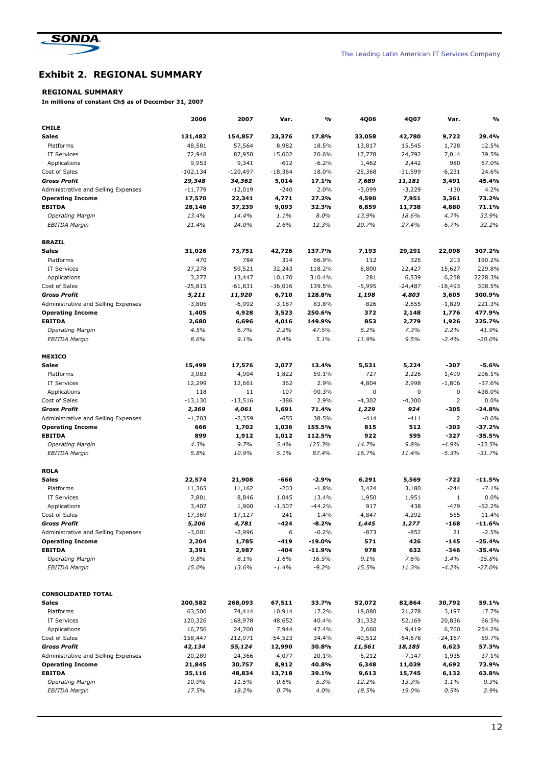

## Exhibit 2. REGIONAL SUMMARY

#### REGIONAL SUMMARY

In millions of constant Ch\$ as of December 31, 2007

|                                                 | 2006        | 2007       | Var.      | %        | 4Q06      | 4Q07        | Var.           | %        |
|-------------------------------------------------|-------------|------------|-----------|----------|-----------|-------------|----------------|----------|
| <b>CHILE</b>                                    |             |            |           |          |           |             |                |          |
| <b>Sales</b>                                    | 131,482     | 154,857    | 23,376    | 17.8%    | 33,058    | 42,780      | 9,722          | 29.4%    |
| Platforms                                       | 48,581      | 57,564     | 8,982     | 18.5%    | 13,817    | 15,545      | 1,728          | 12.5%    |
| IT Services                                     | 72,948      | 87,950     | 15,002    | 20.6%    | 17,778    | 24,792      | 7,014          | 39.5%    |
| Applications                                    | 9,953       | 9,341      | $-612$    | $-6.2%$  | 1,462     | 2,442       | 980            | 67.0%    |
| Cost of Sales                                   | $-102, 134$ | $-120,497$ | $-18,364$ | 18.0%    | $-25,368$ | $-31,599$   | $-6,231$       | 24.6%    |
| <b>Gross Profit</b>                             | 29,348      | 34,362     | 5,014     | 17.1%    | 7,689     | 11,181      | 3,491          | 45.4%    |
| Administrative and Selling Expenses             | $-11,779$   | $-12,019$  | $-240$    | 2.0%     | $-3,099$  | $-3,229$    | $-130$         | 4.2%     |
| <b>Operating Income</b>                         | 17,570      | 22,341     | 4,771     | 27.2%    | 4,590     | 7,951       | 3,361          | 73.2%    |
| <b>EBITDA</b>                                   | 28,146      | 37,239     | 9,093     | 32.3%    | 6,859     | 11,738      | 4,880          | 71.1%    |
| <b>Operating Margin</b>                         | 13.4%       | 14.4%      | 1.1%      | 8.0%     | 13.9%     | 18.6%       | 4.7%           | 33.9%    |
| <b>EBITDA Margin</b>                            | 21.4%       | 24.0%      | 2.6%      | 12.3%    | 20.7%     | 27.4%       | 6.7%           | 32.2%    |
| <b>BRAZIL</b>                                   |             |            |           |          |           |             |                |          |
| <b>Sales</b>                                    | 31,026      | 73,751     | 42,726    | 137.7%   | 7,193     | 29,291      | 22,098         | 307.2%   |
| Platforms                                       | 470         | 784        | 314       | 66.9%    | 112       | 325         | 213            | 190.2%   |
| <b>IT Services</b>                              | 27,278      | 59,521     | 32,243    | 118.2%   | 6,800     | 22,427      | 15,627         | 229.8%   |
| Applications                                    | 3,277       | 13,447     | 10,170    | 310.4%   | 281       | 6,539       | 6,258          | 2228.3%  |
| Cost of Sales                                   | $-25,815$   | $-61,831$  | $-36,016$ | 139.5%   | $-5,995$  | $-24,487$   | $-18,493$      | 308.5%   |
| <b>Gross Profit</b>                             | 5,211       | 11,920     | 6,710     | 128.8%   | 1,198     | 4,803       | 3,605          | 300.9%   |
| Administrative and Selling Expenses             | $-3,805$    | -6,992     | $-3,187$  | 83.8%    | $-826$    | $-2,655$    | $-1,829$       | 221.3%   |
| <b>Operating Income</b>                         | 1,405       | 4,928      | 3,523     | 250.6%   | 372       | 2,148       | 1,776          | 477.9%   |
| <b>EBITDA</b>                                   | 2,680       | 6,696      | 4,016     | 149.9%   | 853       | 2,779       | 1,926          | 225.7%   |
| <b>Operating Margin</b>                         | 4.5%        | 6.7%       | 2.2%      | 47.5%    | 5.2%      | 7.3%        | 2.2%           | 41.9%    |
| <b>EBITDA Margin</b>                            | 8.6%        | 9.1%       | 0.4%      | 5.1%     | 11.9%     | 9.5%        | $-2.4%$        | $-20.0%$ |
| <b>MEXICO</b>                                   |             |            |           |          |           |             |                |          |
| <b>Sales</b>                                    | 15,499      | 17,576     | 2,077     | 13.4%    | 5,531     | 5,224       | -307           | $-5.6%$  |
| Platforms                                       | 3,083       | 4,904      | 1,822     | 59.1%    | 727       | 2,226       | 1,499          | 206.1%   |
| <b>IT Services</b>                              | 12,299      | 12,661     | 362       | 2.9%     | 4,804     | 2,998       | $-1,806$       | $-37.6%$ |
| Applications                                    | 118         | 11         | $-107$    | $-90.3%$ | $\pmb{0}$ | $\mathbf 0$ | $\pmb{0}$      | 438.0%   |
| Cost of Sales                                   | $-13,130$   | $-13,516$  | $-386$    | 2.9%     | $-4,302$  | $-4,300$    | $\overline{2}$ | 0.0%     |
| <b>Gross Profit</b>                             | 2,369       | 4,061      | 1,691     | 71.4%    | 1,229     | 924         | -305           | $-24.8%$ |
| Administrative and Selling Expenses             | $-1,703$    | $-2,359$   | $-655$    | 38.5%    | $-414$    | $-411$      | 2              | $-0.6%$  |
| <b>Operating Income</b>                         | 666         | 1,702      | 1,036     | 155.5%   | 815       | 512         | -303           | $-37.2%$ |
| <b>EBITDA</b>                                   | 899         | 1,912      | 1,012     | 112.5%   | 922       | 595         | $-327$         | $-35.5%$ |
|                                                 | 4.3%        | 9.7%       | 5.4%      | 125.3%   | 14.7%     | 9.8%        | $-4.9%$        | $-33.5%$ |
| <b>Operating Margin</b><br><b>EBITDA Margin</b> | 5.8%        | 10.9%      | 5.1%      | 87.4%    | 16.7%     | 11.4%       | $-5.3%$        | $-31.7%$ |
|                                                 |             |            |           |          |           |             |                |          |
| <b>ROLA</b>                                     |             |            |           |          |           |             |                |          |
| Sales                                           | 22,574      | 21,908     | -666      | $-2.9%$  | 6,291     | 5,569       | -722           | $-11.5%$ |
| Platforms                                       | 11,365      | 11,162     | $-203$    | $-1.8%$  | 3,424     | 3,180       | $-244$         | $-7.1%$  |
| IT Services                                     | 7,801       | 8,846      | 1,045     | 13.4%    | 1,950     | 1,951       | 1              | 0.0%     |
| Applications                                    | 3,407       | 1,900      | $-1,507$  | $-44.2%$ | 917       | 438         | $-479$         | $-52.2%$ |
| Cost of Sales                                   | $-17,369$   | $-17,127$  | 241       | $-1.4%$  | $-4,847$  | $-4,292$    | 555            | $-11.4%$ |
| Gross Profit                                    | 5,206       | 4,781      | -424      | -8.2%    | 1,445     | 1,277       | -168           | -11.6%   |
| Administrative and Selling Expenses             | $-3,001$    | -2,996     | 6         | $-0.2%$  | $-873$    | $-852$      | 21             | $-2.5%$  |
| <b>Operating Income</b>                         | 2,204       | 1,785      | $-419$    | $-19.0%$ | 571       | 426         | -145           | $-25.4%$ |
| <b>EBITDA</b>                                   | 3,391       | 2,987      | $-404$    | -11.9%   | 978       | 632         | -346           | -35.4%   |
| <b>Operating Margin</b>                         | 9.8%        | 8.1%       | $-1.6%$   | $-16.5%$ | 9.1%      | 7.6%        | $-1.4%$        | $-15.8%$ |
| <b>EBITDA Margin</b>                            | 15.0%       | 13.6%      | $-1.4%$   | $-9.2%$  | 15.5%     | 11.3%       | $-4.2%$        | $-27.0%$ |
|                                                 |             |            |           |          |           |             |                |          |
| <b>CONSOLIDATED TOTAL</b>                       |             |            |           |          |           |             |                |          |
| Sales                                           | 200,582     | 268,093    | 67,511    | 33.7%    | 52,072    | 82,864      | 30,792         | 59.1%    |
| Platforms                                       | 63,500      | 74,414     | 10,914    | 17.2%    | 18,080    | 21,278      | 3,197          | 17.7%    |
| <b>IT Services</b>                              | 120,326     | 168,978    | 48,652    | 40.4%    | 31,332    | 52,169      | 20,836         | 66.5%    |
| Applications                                    | 16,756      | 24,700     | 7,944     | 47.4%    | 2,660     | 9,419       | 6,760          | 254.2%   |
| Cost of Sales                                   | -158,447    | -212,971   | $-54,523$ | 34.4%    | $-40,512$ | -64,678     | -24,167        | 59.7%    |
| <b>Gross Profit</b>                             | 42,134      | 55,124     | 12,990    | 30.8%    | 11,561    | 18,185      | 6,623          | 57.3%    |
| Administrative and Selling Expenses             | $-20,289$   | $-24,366$  | $-4,077$  | 20.1%    | -5,212    | $-7,147$    | $-1,935$       | 37.1%    |
| <b>Operating Income</b>                         | 21,845      | 30,757     | 8,912     | 40.8%    | 6,348     | 11,039      | 4,692          | 73.9%    |
| <b>EBITDA</b>                                   | 35,116      | 48,834     | 13,718    | 39.1%    | 9,613     | 15,745      | 6,132          | 63.8%    |
| <b>Operating Margin</b>                         | 10.9%       | 11.5%      | 0.6%      | 5.3%     | 12.2%     | 13.3%       | 1.1%           | 9.3%     |
| <b>EBITDA Margin</b>                            | 17.5%       | 18.2%      | 0.7%      | 4.0%     | 18.5%     | 19.0%       | 0.5%           | 2.9%     |
|                                                 |             |            |           |          |           |             |                |          |